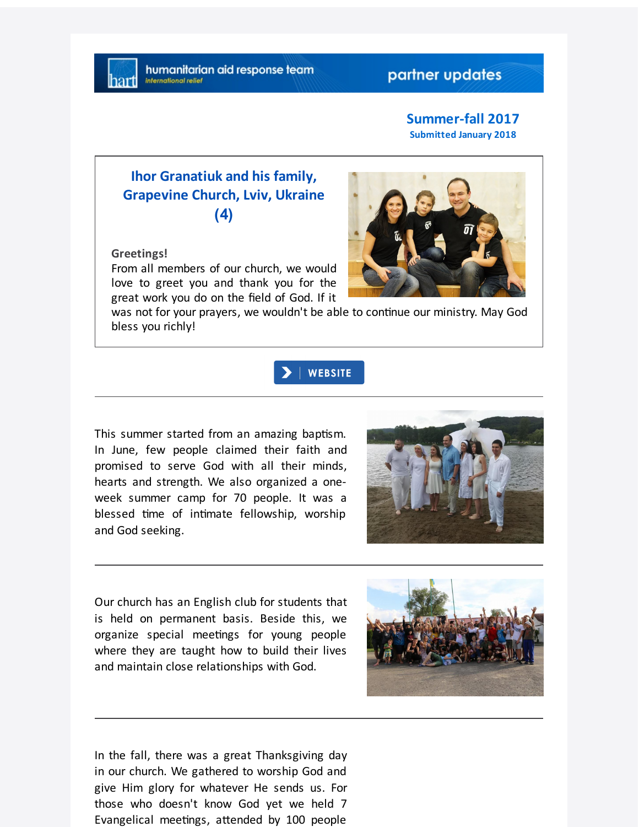## partner updates

#### **Summer-fall 2017 Submitted January 2018**

# **Ihor Granatiuk and his family, Grapevine Church, Lviv, Ukraine (4)**

#### **Greetings!**

From all members of our church, we would love to greet you and thank you for the great work you do on the field of God. If it

was not for your prayers, we wouldn't be able to continue our ministry. May God bless you richly!



This summer started from an amazing baptism. In June, few people claimed their faith and promised to serve God with all their minds, hearts and strength. We also organized a oneweek summer camp for 70 people. It was a blessed time of intimate fellowship, worship and God seeking.



Our church has an English club for students that is held on permanent basis. Beside this, we organize special meetings for young people where they are taught how to build their lives and maintain close relationships with God.



In the fall, there was a great Thanksgiving day in our church. We gathered to worship God and give Him glory for whatever He sends us. For those who doesn't know God yet we held 7 Evangelical meetings, attended by 100 people